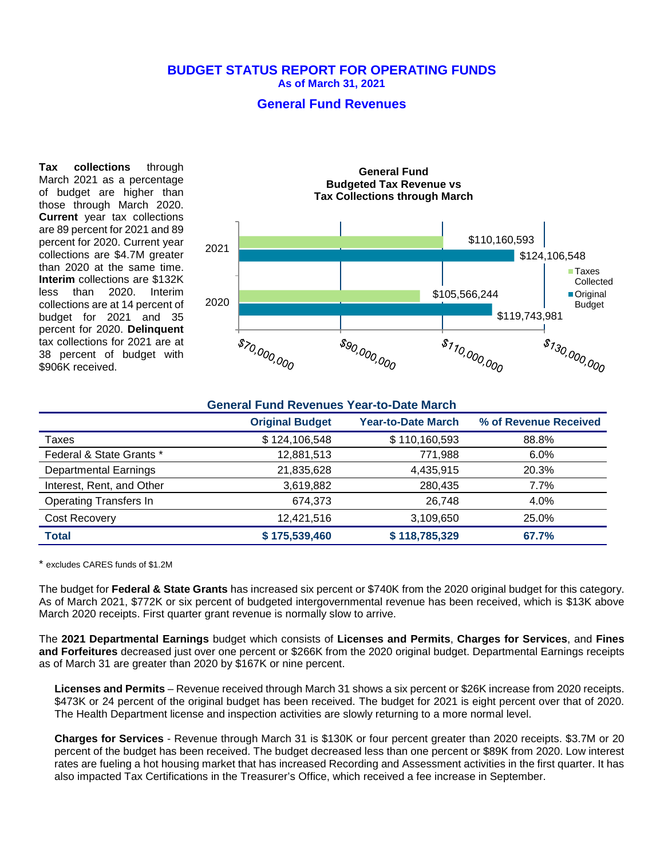### **BUDGET STATUS REPORT FOR OPERATING FUNDS As of March 31, 2021**

### **General Fund Revenues**

**Tax collections** through March 2021 as a percentage of budget are higher than those through March 2020. **Current** year tax collections are 89 percent for 2021 and 89 percent for 2020. Current year collections are \$4.7M greater than 2020 at the same time. **Interim** collections are \$132K less than 2020. Interim collections are at 14 percent of budget for 2021 and 35 percent for 2020. **Delinquent** tax collections for 2021 are at 38 percent of budget with \$906K received.



|                               | <b>General Fund Revenues Year-to-Date March</b> |                           |                       |  |
|-------------------------------|-------------------------------------------------|---------------------------|-----------------------|--|
|                               | <b>Original Budget</b>                          | <b>Year-to-Date March</b> | % of Revenue Received |  |
| Taxes                         | \$124,106,548                                   | \$110,160,593             | 88.8%                 |  |
| Federal & State Grants *      | 12,881,513                                      | 771,988                   | 6.0%                  |  |
| <b>Departmental Earnings</b>  | 21,835,628                                      | 4,435,915                 | 20.3%                 |  |
| Interest, Rent, and Other     | 3,619,882                                       | 280,435                   | 7.7%                  |  |
| <b>Operating Transfers In</b> | 674,373                                         | 26.748                    | 4.0%                  |  |
| Cost Recovery                 | 12,421,516                                      | 3,109,650                 | 25.0%                 |  |
| <b>Total</b>                  | \$175,539,460                                   | \$118,785,329             | 67.7%                 |  |

\* excludes CARES funds of \$1.2M

The budget for **Federal & State Grants** has increased six percent or \$740K from the 2020 original budget for this category. As of March 2021, \$772K or six percent of budgeted intergovernmental revenue has been received, which is \$13K above March 2020 receipts. First quarter grant revenue is normally slow to arrive.

The **2021 Departmental Earnings** budget which consists of **Licenses and Permits**, **Charges for Services**, and **Fines and Forfeitures** decreased just over one percent or \$266K from the 2020 original budget. Departmental Earnings receipts as of March 31 are greater than 2020 by \$167K or nine percent.

**Licenses and Permits** – Revenue received through March 31 shows a six percent or \$26K increase from 2020 receipts. \$473K or 24 percent of the original budget has been received. The budget for 2021 is eight percent over that of 2020. The Health Department license and inspection activities are slowly returning to a more normal level.

**Charges for Services** - Revenue through March 31 is \$130K or four percent greater than 2020 receipts. \$3.7M or 20 percent of the budget has been received. The budget decreased less than one percent or \$89K from 2020. Low interest rates are fueling a hot housing market that has increased Recording and Assessment activities in the first quarter. It has also impacted Tax Certifications in the Treasurer's Office, which received a fee increase in September.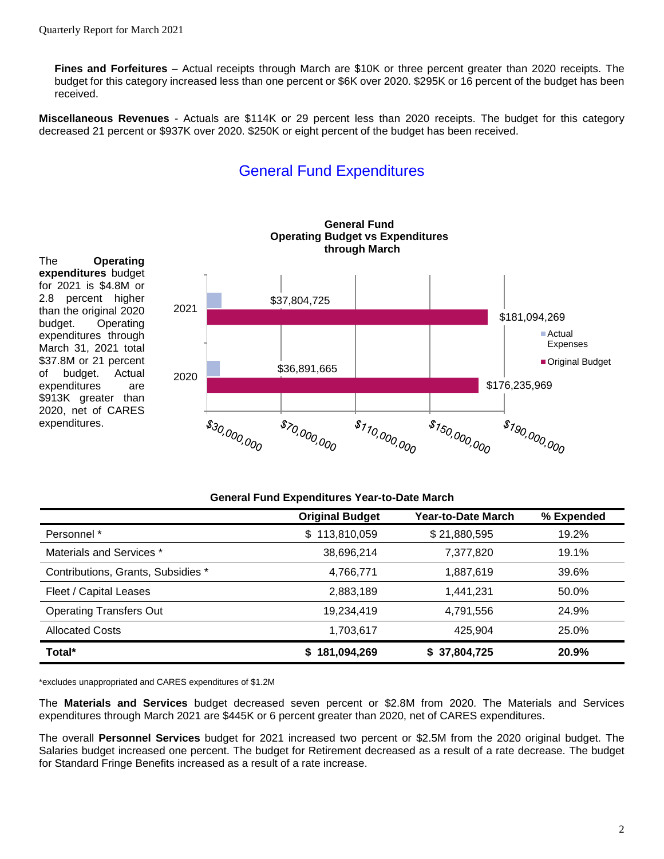**Fines and Forfeitures** – Actual receipts through March are \$10K or three percent greater than 2020 receipts. The budget for this category increased less than one percent or \$6K over 2020. \$295K or 16 percent of the budget has been received.

**Miscellaneous Revenues** - Actuals are \$114K or 29 percent less than 2020 receipts. The budget for this category decreased 21 percent or \$937K over 2020. \$250K or eight percent of the budget has been received.

# General Fund Expenditures



#### **General Fund Expenditures Year-to-Date March**

|                                    | <b>Original Budget</b> | Year-to-Date March | % Expended |
|------------------------------------|------------------------|--------------------|------------|
| Personnel *                        | 113,810,059<br>\$      | \$21,880,595       | 19.2%      |
| Materials and Services *           | 38,696,214             | 7,377,820          | 19.1%      |
| Contributions, Grants, Subsidies * | 4,766,771              | 1,887,619          | 39.6%      |
| Fleet / Capital Leases             | 2,883,189              | 1,441,231          | 50.0%      |
| <b>Operating Transfers Out</b>     | 19,234,419             | 4,791,556          | 24.9%      |
| <b>Allocated Costs</b>             | 1,703,617              | 425,904            | 25.0%      |
| Total*                             | 181,094,269            | \$37,804,725       | 20.9%      |

\*excludes unappropriated and CARES expenditures of \$1.2M

The **Materials and Services** budget decreased seven percent or \$2.8M from 2020. The Materials and Services expenditures through March 2021 are \$445K or 6 percent greater than 2020, net of CARES expenditures.

The overall **Personnel Services** budget for 2021 increased two percent or \$2.5M from the 2020 original budget. The Salaries budget increased one percent. The budget for Retirement decreased as a result of a rate decrease. The budget for Standard Fringe Benefits increased as a result of a rate increase.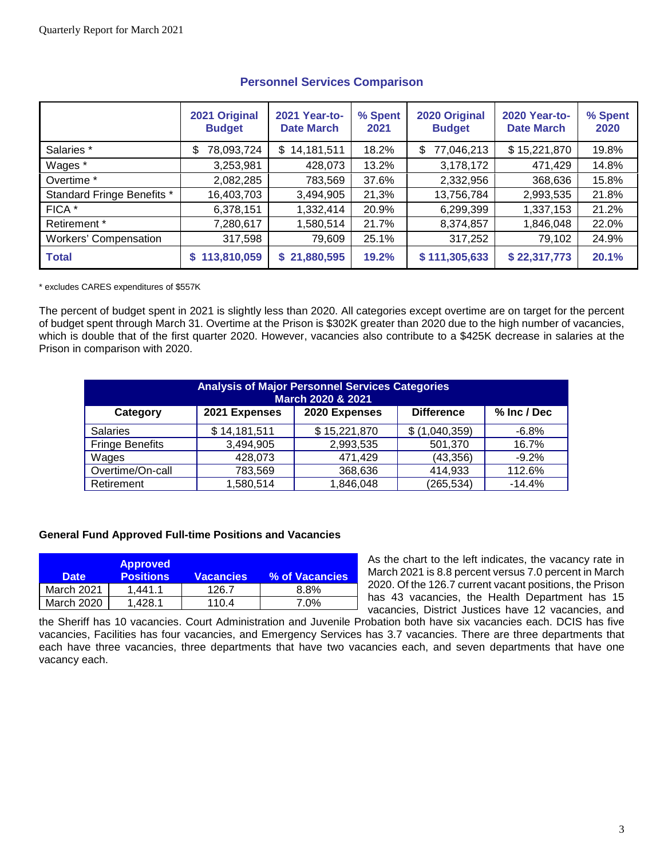|                              | 2021 Original<br><b>Budget</b> | <b>2021 Year-to-</b><br><b>Date March</b> | % Spent<br>2021 | 2020 Original<br><b>Budget</b> | <b>2020 Year-to-</b><br><b>Date March</b> | % Spent<br>2020 |
|------------------------------|--------------------------------|-------------------------------------------|-----------------|--------------------------------|-------------------------------------------|-----------------|
| Salaries *                   | 78,093,724<br>\$               | 14,181,511<br>\$                          | 18.2%           | 77,046,213<br>\$.              | \$15,221,870                              | 19.8%           |
| Wages *                      | 3,253,981                      | 428,073                                   | 13.2%           | 3,178,172                      | 471,429                                   | 14.8%           |
| Overtime *                   | 2,082,285                      | 783,569                                   | 37.6%           | 2,332,956                      | 368,636                                   | 15.8%           |
| Standard Fringe Benefits *   | 16,403,703                     | 3,494,905                                 | 21,3%           | 13,756,784                     | 2,993,535                                 | 21.8%           |
| FICA *                       | 6,378,151                      | 1,332,414                                 | 20.9%           | 6,299,399                      | 1,337,153                                 | 21.2%           |
| Retirement *                 | 7,280,617                      | 1,580,514                                 | 21.7%           | 8,374,857                      | 1,846,048                                 | 22.0%           |
| <b>Workers' Compensation</b> | 317,598                        | 79,609                                    | 25.1%           | 317,252                        | 79,102                                    | 24.9%           |
| <b>Total</b>                 | 113,810,059                    | \$21,880,595                              | 19.2%           | \$111,305,633                  | \$22,317,773                              | 20.1%           |

### **Personnel Services Comparison**

\* excludes CARES expenditures of \$557K

The percent of budget spent in 2021 is slightly less than 2020. All categories except overtime are on target for the percent of budget spent through March 31. Overtime at the Prison is \$302K greater than 2020 due to the high number of vacancies, which is double that of the first quarter 2020. However, vacancies also contribute to a \$425K decrease in salaries at the Prison in comparison with 2020.

| <b>Analysis of Major Personnel Services Categories</b><br>March 2020 & 2021 |               |               |                   |             |  |
|-----------------------------------------------------------------------------|---------------|---------------|-------------------|-------------|--|
| Category                                                                    | 2021 Expenses | 2020 Expenses | <b>Difference</b> | % Inc / Dec |  |
| <b>Salaries</b>                                                             | \$14,181,511  | \$15,221,870  | (1,040,359)<br>S  | $-6.8%$     |  |
| <b>Fringe Benefits</b>                                                      | 3,494,905     | 2,993,535     | 501,370           | 16.7%       |  |
| Wages                                                                       | 428,073       | 471,429       | (43, 356)         | $-9.2%$     |  |
| Overtime/On-call                                                            | 783,569       | 368,636       | 414,933           | 112.6%      |  |
| Retirement                                                                  | 1,580,514     | 1,846,048     | (265, 534)        | $-14.4%$    |  |

### **General Fund Approved Full-time Positions and Vacancies**

| <b>Date</b> | <b>Approved</b><br><b>Positions</b> | <b>Vacancies</b> | % of Vacancies |
|-------------|-------------------------------------|------------------|----------------|
| March 2021  | 1.441.1                             | 126.7            | 8.8%           |
| March 2020  | 1.428.1                             | 110.4            | $7.0\%$        |

As the chart to the left indicates, the vacancy rate in March 2021 is 8.8 percent versus 7.0 percent in March 2020. Of the 126.7 current vacant positions, the Prison has 43 vacancies, the Health Department has 15 vacancies, District Justices have 12 vacancies, and

the Sheriff has 10 vacancies. Court Administration and Juvenile Probation both have six vacancies each. DCIS has five vacancies, Facilities has four vacancies, and Emergency Services has 3.7 vacancies. There are three departments that each have three vacancies, three departments that have two vacancies each, and seven departments that have one vacancy each.